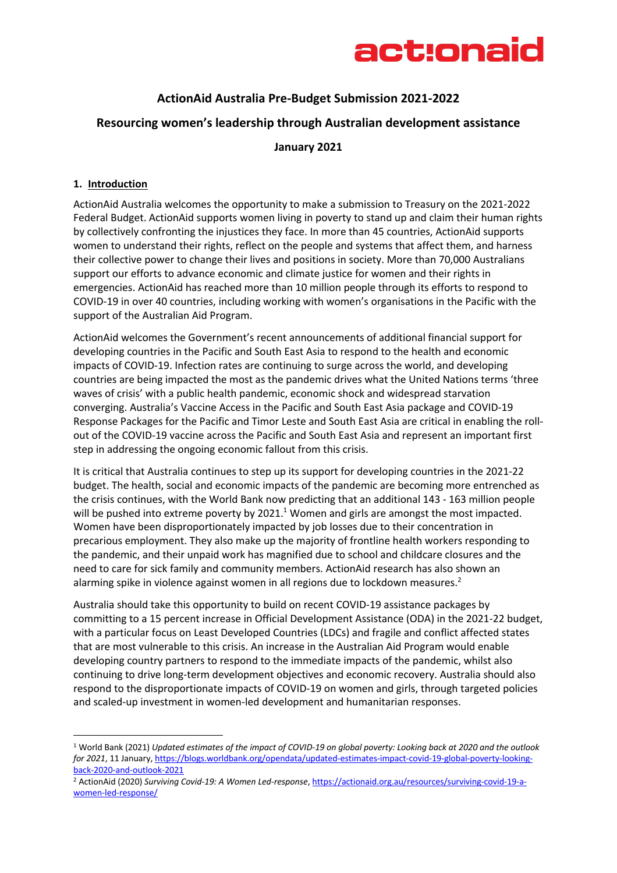

# **ActionAid Australia Pre-Budget Submission 2021-2022**

# **Resourcing women's leadership through Australian development assistance**

**January 2021**

#### **1. Introduction**

ActionAid Australia welcomes the opportunity to make a submission to Treasury on the 2021-2022 Federal Budget. ActionAid supports women living in poverty to stand up and claim their human rights by collectively confronting the injustices they face. In more than 45 countries, ActionAid supports women to understand their rights, reflect on the people and systems that affect them, and harness their collective power to change their lives and positions in society. More than 70,000 Australians support our efforts to advance economic and climate justice for women and their rights in emergencies. ActionAid has reached more than 10 million people through its efforts to respond to COVID-19 in over 40 countries, including working with women's organisations in the Pacific with the support of the Australian Aid Program.

ActionAid welcomes the Government's recent announcements of additional financial support for developing countries in the Pacific and South East Asia to respond to the health and economic impacts of COVID-19. Infection rates are continuing to surge across the world, and developing countries are being impacted the most as the pandemic drives what the United Nations terms 'three waves of crisis' with a public health pandemic, economic shock and widespread starvation converging. Australia's Vaccine Access in the Pacific and South East Asia package and COVID-19 Response Packages for the Pacific and Timor Leste and South East Asia are critical in enabling the rollout of the COVID-19 vaccine across the Pacific and South East Asia and represent an important first step in addressing the ongoing economic fallout from this crisis.

It is critical that Australia continues to step up its support for developing countries in the 2021-22 budget. The health, social and economic impacts of the pandemic are becoming more entrenched as the crisis continues, with the World Bank now predicting that an additional 143 - 163 million people will be pushed into extreme poverty by 2021.<sup>1</sup> Women and girls are amongst the most impacted. Women have been disproportionately impacted by job losses due to their concentration in precarious employment. They also make up the majority of frontline health workers responding to the pandemic, and their unpaid work has magnified due to school and childcare closures and the need to care for sick family and community members. ActionAid research has also shown an alarming spike in violence against women in all regions due to lockdown measures.<sup>2</sup>

Australia should take this opportunity to build on recent COVID-19 assistance packages by committing to a 15 percent increase in Official Development Assistance (ODA) in the 2021-22 budget, with a particular focus on Least Developed Countries (LDCs) and fragile and conflict affected states that are most vulnerable to this crisis. An increase in the Australian Aid Program would enable developing country partners to respond to the immediate impacts of the pandemic, whilst also continuing to drive long-term development objectives and economic recovery. Australia should also respond to the disproportionate impacts of COVID-19 on women and girls, through targeted policies and scaled-up investment in women-led development and humanitarian responses.

<sup>1</sup> World Bank (2021) *Updated estimates of the impact of COVID-19 on global poverty: Looking back at 2020 and the outlook for 2021*, 11 January, https://blogs.worldbank.org/opendata/updated-estimates-impact-covid-19-global-poverty-lookingback-2020-and-outlook-2021

<sup>2</sup> ActionAid (2020) *Surviving Covid-19: A Women Led-response*, https://actionaid.org.au/resources/surviving-covid-19-awomen-led-response/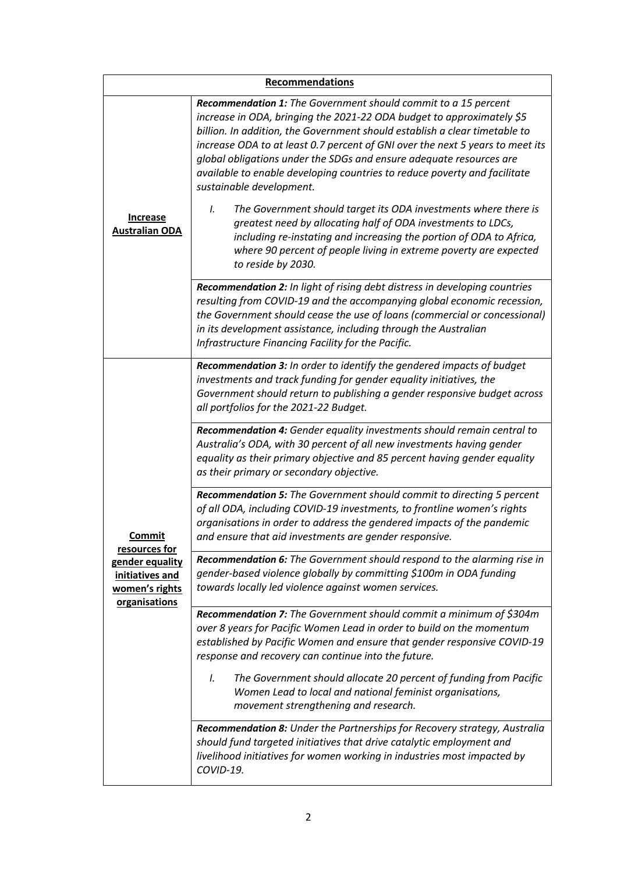| <b>Recommendations</b>                                                                           |                                                                                                                                                                                                                                                                                                                                                                                                                                                                                                                                                                                                                                                                                                                                                                                                   |  |
|--------------------------------------------------------------------------------------------------|---------------------------------------------------------------------------------------------------------------------------------------------------------------------------------------------------------------------------------------------------------------------------------------------------------------------------------------------------------------------------------------------------------------------------------------------------------------------------------------------------------------------------------------------------------------------------------------------------------------------------------------------------------------------------------------------------------------------------------------------------------------------------------------------------|--|
| <b>Increase</b><br><b>Australian ODA</b>                                                         | Recommendation 1: The Government should commit to a 15 percent<br>increase in ODA, bringing the 2021-22 ODA budget to approximately \$5<br>billion. In addition, the Government should establish a clear timetable to<br>increase ODA to at least 0.7 percent of GNI over the next 5 years to meet its<br>global obligations under the SDGs and ensure adequate resources are<br>available to enable developing countries to reduce poverty and facilitate<br>sustainable development.<br>The Government should target its ODA investments where there is<br>I.<br>greatest need by allocating half of ODA investments to LDCs,<br>including re-instating and increasing the portion of ODA to Africa,<br>where 90 percent of people living in extreme poverty are expected<br>to reside by 2030. |  |
|                                                                                                  | Recommendation 2: In light of rising debt distress in developing countries<br>resulting from COVID-19 and the accompanying global economic recession,<br>the Government should cease the use of loans (commercial or concessional)<br>in its development assistance, including through the Australian<br>Infrastructure Financing Facility for the Pacific.                                                                                                                                                                                                                                                                                                                                                                                                                                       |  |
| Commit<br>resources for<br>gender equality<br>initiatives and<br>women's rights<br>organisations | Recommendation 3: In order to identify the gendered impacts of budget<br>investments and track funding for gender equality initiatives, the<br>Government should return to publishing a gender responsive budget across<br>all portfolios for the 2021-22 Budget.                                                                                                                                                                                                                                                                                                                                                                                                                                                                                                                                 |  |
|                                                                                                  | Recommendation 4: Gender equality investments should remain central to<br>Australia's ODA, with 30 percent of all new investments having gender<br>equality as their primary objective and 85 percent having gender equality<br>as their primary or secondary objective.                                                                                                                                                                                                                                                                                                                                                                                                                                                                                                                          |  |
|                                                                                                  | Recommendation 5: The Government should commit to directing 5 percent<br>of all ODA, including COVID-19 investments, to frontline women's rights<br>organisations in order to address the gendered impacts of the pandemic<br>and ensure that aid investments are gender responsive.                                                                                                                                                                                                                                                                                                                                                                                                                                                                                                              |  |
|                                                                                                  | Recommendation 6: The Government should respond to the alarming rise in<br>gender-based violence globally by committing \$100m in ODA funding<br>towards locally led violence against women services.                                                                                                                                                                                                                                                                                                                                                                                                                                                                                                                                                                                             |  |
|                                                                                                  | Recommendation 7: The Government should commit a minimum of \$304m<br>over 8 years for Pacific Women Lead in order to build on the momentum<br>established by Pacific Women and ensure that gender responsive COVID-19<br>response and recovery can continue into the future.                                                                                                                                                                                                                                                                                                                                                                                                                                                                                                                     |  |
|                                                                                                  | The Government should allocate 20 percent of funding from Pacific<br>I.<br>Women Lead to local and national feminist organisations,<br>movement strengthening and research.                                                                                                                                                                                                                                                                                                                                                                                                                                                                                                                                                                                                                       |  |
|                                                                                                  | Recommendation 8: Under the Partnerships for Recovery strategy, Australia<br>should fund targeted initiatives that drive catalytic employment and<br>livelihood initiatives for women working in industries most impacted by<br>COVID-19.                                                                                                                                                                                                                                                                                                                                                                                                                                                                                                                                                         |  |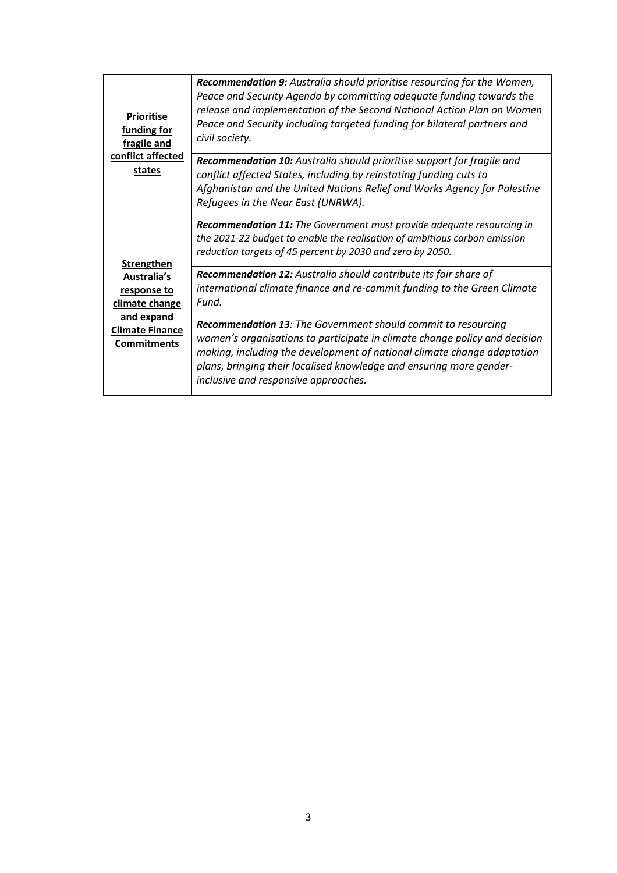| <b>Prioritise</b><br>funding for<br>fragile and<br>conflict affected<br>states                                                  | <b>Recommendation 9:</b> Australia should prioritise resourcing for the Women,<br>Peace and Security Agenda by committing adequate funding towards the<br>release and implementation of the Second National Action Plan on Women<br>Peace and Security including targeted funding for bilateral partners and<br>civil society.        |
|---------------------------------------------------------------------------------------------------------------------------------|---------------------------------------------------------------------------------------------------------------------------------------------------------------------------------------------------------------------------------------------------------------------------------------------------------------------------------------|
|                                                                                                                                 | Recommendation 10: Australia should prioritise support for fragile and<br>conflict affected States, including by reinstating funding cuts to<br>Afghanistan and the United Nations Relief and Works Agency for Palestine<br>Refugees in the Near East (UNRWA).                                                                        |
| <b>Strengthen</b><br>Australia's<br>response to<br>climate change<br>and expand<br><b>Climate Finance</b><br><b>Commitments</b> | Recommendation 11: The Government must provide adequate resourcing in<br>the 2021-22 budget to enable the realisation of ambitious carbon emission<br>reduction targets of 45 percent by 2030 and zero by 2050.                                                                                                                       |
|                                                                                                                                 | Recommendation 12: Australia should contribute its fair share of<br>international climate finance and re-commit funding to the Green Climate<br>Fund.                                                                                                                                                                                 |
|                                                                                                                                 | Recommendation 13: The Government should commit to resourcing<br>women's organisations to participate in climate change policy and decision<br>making, including the development of national climate change adaptation<br>plans, bringing their localised knowledge and ensuring more gender-<br>inclusive and responsive approaches. |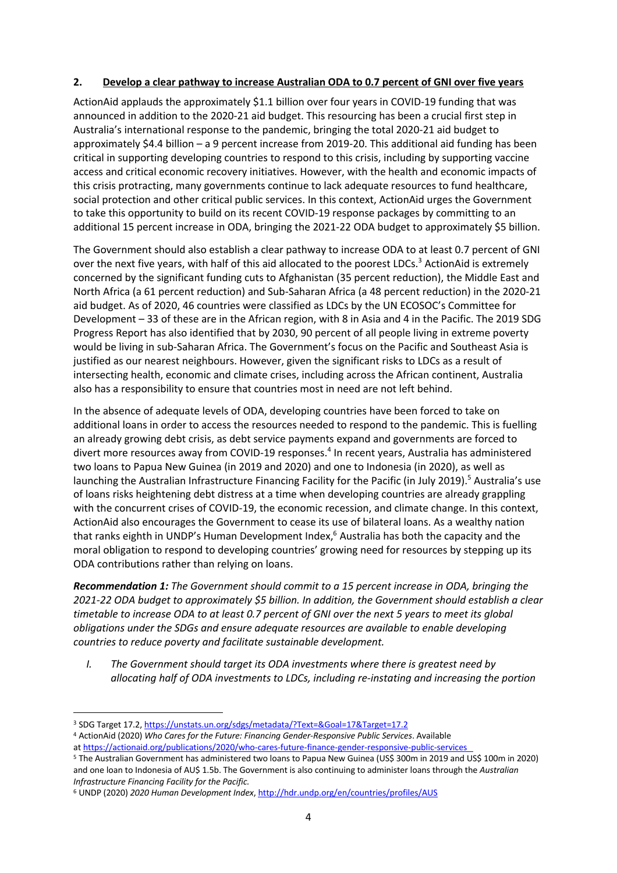#### **2. Develop a clear pathway to increase Australian ODA to 0.7 percent of GNI over five years**

ActionAid applauds the approximately \$1.1 billion over four years in COVID-19 funding that was announced in addition to the 2020-21 aid budget. This resourcing has been a crucial first step in Australia's international response to the pandemic, bringing the total 2020-21 aid budget to approximately \$4.4 billion – a 9 percent increase from 2019-20. This additional aid funding has been critical in supporting developing countries to respond to this crisis, including by supporting vaccine access and critical economic recovery initiatives. However, with the health and economic impacts of this crisis protracting, many governments continue to lack adequate resources to fund healthcare, social protection and other critical public services. In this context, ActionAid urges the Government to take this opportunity to build on its recent COVID-19 response packages by committing to an additional 15 percent increase in ODA, bringing the 2021-22 ODA budget to approximately \$5 billion.

The Government should also establish a clear pathway to increase ODA to at least 0.7 percent of GNI over the next five years, with half of this aid allocated to the poorest LDCs.<sup>3</sup> ActionAid is extremely concerned by the significant funding cuts to Afghanistan (35 percent reduction), the Middle East and North Africa (a 61 percent reduction) and Sub-Saharan Africa (a 48 percent reduction) in the 2020-21 aid budget. As of 2020, 46 countries were classified as LDCs by the UN ECOSOC's Committee for Development – 33 of these are in the African region, with 8 in Asia and 4 in the Pacific. The 2019 SDG Progress Report has also identified that by 2030, 90 percent of all people living in extreme poverty would be living in sub-Saharan Africa. The Government's focus on the Pacific and Southeast Asia is justified as our nearest neighbours. However, given the significant risks to LDCs as a result of intersecting health, economic and climate crises, including across the African continent, Australia also has a responsibility to ensure that countries most in need are not left behind.

In the absence of adequate levels of ODA, developing countries have been forced to take on additional loans in order to access the resources needed to respond to the pandemic. This is fuelling an already growing debt crisis, as debt service payments expand and governments are forced to divert more resources away from COVID-19 responses.4 In recent years, Australia has administered two loans to Papua New Guinea (in 2019 and 2020) and one to Indonesia (in 2020), as well as launching the Australian Infrastructure Financing Facility for the Pacific (in July 2019).<sup>5</sup> Australia's use of loans risks heightening debt distress at a time when developing countries are already grappling with the concurrent crises of COVID-19, the economic recession, and climate change. In this context, ActionAid also encourages the Government to cease its use of bilateral loans. As a wealthy nation that ranks eighth in UNDP's Human Development Index,<sup>6</sup> Australia has both the capacity and the moral obligation to respond to developing countries' growing need for resources by stepping up its ODA contributions rather than relying on loans.

*Recommendation 1: The Government should commit to a 15 percent increase in ODA, bringing the 2021-22 ODA budget to approximately \$5 billion. In addition, the Government should establish a clear timetable to increase ODA to at least 0.7 percent of GNI over the next 5 years to meet its global obligations under the SDGs and ensure adequate resources are available to enable developing countries to reduce poverty and facilitate sustainable development.*

*I. The Government should target its ODA investments where there is greatest need by allocating half of ODA investments to LDCs, including re-instating and increasing the portion* 

<sup>4</sup> ActionAid (2020) *Who Cares for the Future: Financing Gender-Responsive Public Services*. Available

<sup>3</sup> SDG Target 17.2, https://unstats.un.org/sdgs/metadata/?Text=&Goal=17&Target=17.2

at https://actionaid.org/publications/2020/who-cares-future-finance-gender-responsive-public-services 5 The Australian Government has administered two loans to Papua New Guinea (US\$ 300m in 2019 and US\$ 100m in 2020)

and one loan to Indonesia of AU\$ 1.5b. The Government is also continuing to administer loans through the *Australian Infrastructure Financing Facility for the Pacific.* 

<sup>6</sup> UNDP (2020) *2020 Human Development Index*, http://hdr.undp.org/en/countries/profiles/AUS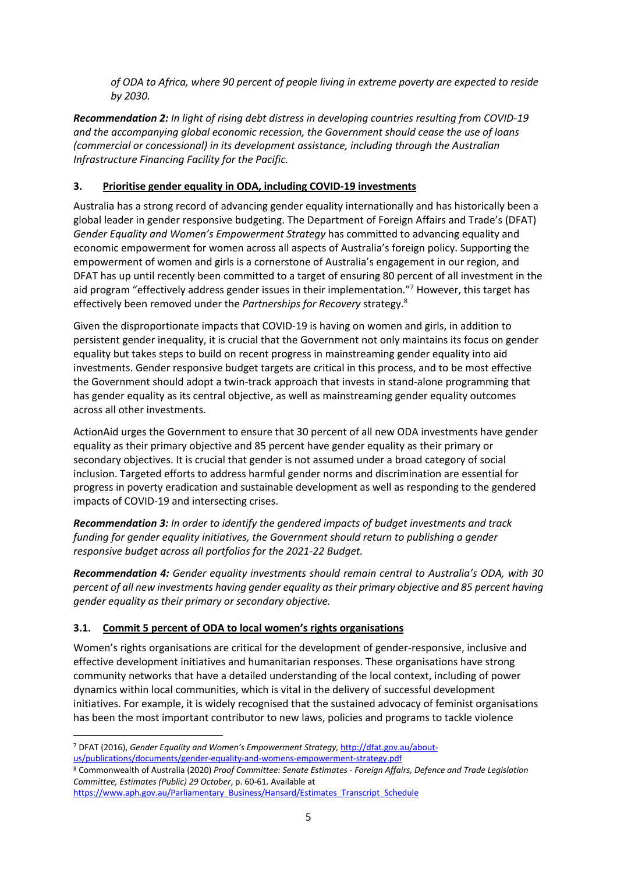*of ODA to Africa, where 90 percent of people living in extreme poverty are expected to reside by 2030.*

*Recommendation 2: In light of rising debt distress in developing countries resulting from COVID-19 and the accompanying global economic recession, the Government should cease the use of loans (commercial or concessional) in its development assistance, including through the Australian Infrastructure Financing Facility for the Pacific.* 

# **3. Prioritise gender equality in ODA, including COVID-19 investments**

Australia has a strong record of advancing gender equality internationally and has historically been a global leader in gender responsive budgeting. The Department of Foreign Affairs and Trade's (DFAT) *Gender Equality and Women's Empowerment Strategy* has committed to advancing equality and economic empowerment for women across all aspects of Australia's foreign policy. Supporting the empowerment of women and girls is a cornerstone of Australia's engagement in our region, and DFAT has up until recently been committed to a target of ensuring 80 percent of all investment in the aid program "effectively address gender issues in their implementation."<sup>7</sup> However, this target has effectively been removed under the *Partnerships for Recovery* strategy. 8

Given the disproportionate impacts that COVID-19 is having on women and girls, in addition to persistent gender inequality, it is crucial that the Government not only maintains its focus on gender equality but takes steps to build on recent progress in mainstreaming gender equality into aid investments. Gender responsive budget targets are critical in this process, and to be most effective the Government should adopt a twin-track approach that invests in stand-alone programming that has gender equality as its central objective, as well as mainstreaming gender equality outcomes across all other investments.

ActionAid urges the Government to ensure that 30 percent of all new ODA investments have gender equality as their primary objective and 85 percent have gender equality as their primary or secondary objectives. It is crucial that gender is not assumed under a broad category of social inclusion. Targeted efforts to address harmful gender norms and discrimination are essential for progress in poverty eradication and sustainable development as well as responding to the gendered impacts of COVID-19 and intersecting crises.

*Recommendation 3: In order to identify the gendered impacts of budget investments and track funding for gender equality initiatives, the Government should return to publishing a gender responsive budget across all portfolios for the 2021-22 Budget.*

*Recommendation 4: Gender equality investments should remain central to Australia's ODA, with 30 percent of all new investments having gender equality as their primary objective and 85 percent having gender equality as their primary or secondary objective.*

# **3.1. Commit 5 percent of ODA to local women's rights organisations**

Women's rights organisations are critical for the development of gender-responsive, inclusive and effective development initiatives and humanitarian responses. These organisations have strong community networks that have a detailed understanding of the local context, including of power dynamics within local communities, which is vital in the delivery of successful development initiatives. For example, it is widely recognised that the sustained advocacy of feminist organisations has been the most important contributor to new laws, policies and programs to tackle violence

<sup>7</sup> DFAT (2016), *Gender Equality and Women's Empowerment Strategy,* http://dfat.gov.au/aboutus/publications/documents/gender-equality-and-womens-empowerment-strategy.pdf

<sup>8</sup> Commonwealth of Australia (2020) *Proof Committee: Senate Estimates - Foreign Affairs, Defence and Trade Legislation Committee, Estimates (Public) 29 October*, p. 60-61. Available at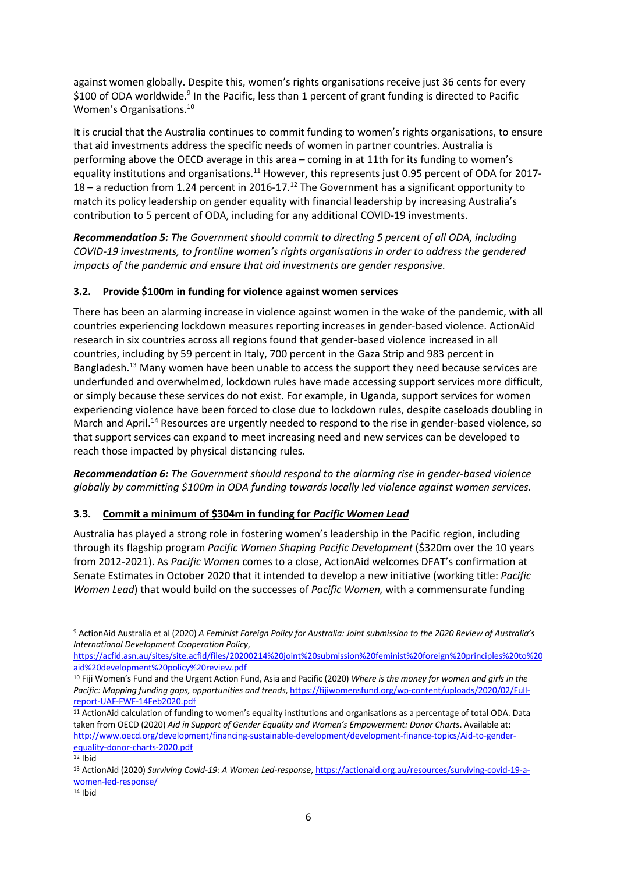against women globally. Despite this, women's rights organisations receive just 36 cents for every \$100 of ODA worldwide.<sup>9</sup> In the Pacific, less than 1 percent of grant funding is directed to Pacific Women's Organisations.10

It is crucial that the Australia continues to commit funding to women's rights organisations, to ensure that aid investments address the specific needs of women in partner countries. Australia is performing above the OECD average in this area – coming in at 11th for its funding to women's equality institutions and organisations.<sup>11</sup> However, this represents just 0.95 percent of ODA for 2017-18 – a reduction from 1.24 percent in 2016-17.<sup>12</sup> The Government has a significant opportunity to match its policy leadership on gender equality with financial leadership by increasing Australia's contribution to 5 percent of ODA, including for any additional COVID-19 investments.

*Recommendation 5: The Government should commit to directing 5 percent of all ODA, including COVID-19 investments, to frontline women's rights organisations in order to address the gendered impacts of the pandemic and ensure that aid investments are gender responsive.*

# **3.2. Provide \$100m in funding for violence against women services**

There has been an alarming increase in violence against women in the wake of the pandemic, with all countries experiencing lockdown measures reporting increases in gender-based violence. ActionAid research in six countries across all regions found that gender-based violence increased in all countries, including by 59 percent in Italy, 700 percent in the Gaza Strip and 983 percent in Bangladesh.<sup>13</sup> Many women have been unable to access the support they need because services are underfunded and overwhelmed, lockdown rules have made accessing support services more difficult, or simply because these services do not exist. For example, in Uganda, support services for women experiencing violence have been forced to close due to lockdown rules, despite caseloads doubling in March and April.<sup>14</sup> Resources are urgently needed to respond to the rise in gender-based violence, so that support services can expand to meet increasing need and new services can be developed to reach those impacted by physical distancing rules.

*Recommendation 6: The Government should respond to the alarming rise in gender-based violence globally by committing \$100m in ODA funding towards locally led violence against women services.*

#### **3.3. Commit a minimum of \$304m in funding for** *Pacific Women Lead*

Australia has played a strong role in fostering women's leadership in the Pacific region, including through its flagship program *Pacific Women Shaping Pacific Development* (\$320m over the 10 years from 2012-2021). As *Pacific Women* comes to a close, ActionAid welcomes DFAT's confirmation at Senate Estimates in October 2020 that it intended to develop a new initiative (working title: *Pacific Women Lead*) that would build on the successes of *Pacific Women,* with a commensurate funding

<sup>9</sup> ActionAid Australia et al (2020) *A Feminist Foreign Policy for Australia: Joint submission to the 2020 Review of Australia's International Development Cooperation Policy*,

https://acfid.asn.au/sites/site.acfid/files/20200214%20joint%20submission%20feminist%20foreign%20principles%20to%20 aid%20development%20policy%20review.pdf

<sup>10</sup> Fiji Women's Fund and the Urgent Action Fund, Asia and Pacific (2020) *Where is the money for women and girls in the Pacific: Mapping funding gaps, opportunities and trends*, https://fijiwomensfund.org/wp-content/uploads/2020/02/Fullreport-UAF-FWF-14Feb2020.pdf

<sup>11</sup> ActionAid calculation of funding to women's equality institutions and organisations as a percentage of total ODA. Data taken from OECD (2020) *Aid in Support of Gender Equality and Women's Empowerment: Donor Charts*. Available at: http://www.oecd.org/development/financing-sustainable-development/development-finance-topics/Aid-to-genderequality-donor-charts-2020.pdf

<sup>12</sup> Ibid

<sup>13</sup> ActionAid (2020) *Surviving Covid-19: A Women Led-response*, https://actionaid.org.au/resources/surviving-covid-19-awomen-led-response/

 $14$  Ibid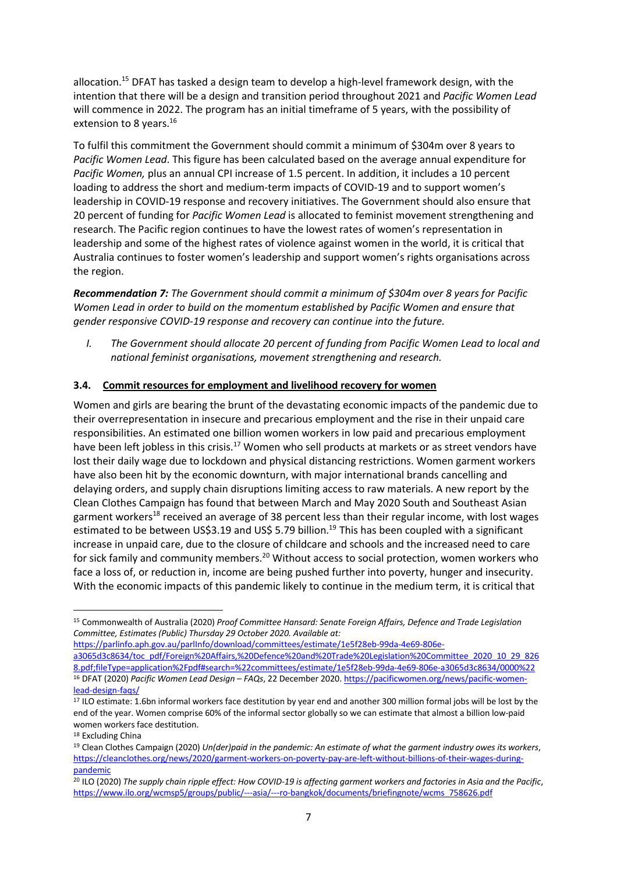allocation.<sup>15</sup> DFAT has tasked a design team to develop a high-level framework design, with the intention that there will be a design and transition period throughout 2021 and *Pacific Women Lead* will commence in 2022. The program has an initial timeframe of 5 years, with the possibility of extension to 8 years.<sup>16</sup>

To fulfil this commitment the Government should commit a minimum of \$304m over 8 years to *Pacific Women Lead*. This figure has been calculated based on the average annual expenditure for *Pacific Women,* plus an annual CPI increase of 1.5 percent. In addition, it includes a 10 percent loading to address the short and medium-term impacts of COVID-19 and to support women's leadership in COVID-19 response and recovery initiatives. The Government should also ensure that 20 percent of funding for *Pacific Women Lead* is allocated to feminist movement strengthening and research. The Pacific region continues to have the lowest rates of women's representation in leadership and some of the highest rates of violence against women in the world, it is critical that Australia continues to foster women's leadership and support women's rights organisations across the region.

*Recommendation 7: The Government should commit a minimum of \$304m over 8 years for Pacific Women Lead in order to build on the momentum established by Pacific Women and ensure that gender responsive COVID-19 response and recovery can continue into the future.* 

*I. The Government should allocate 20 percent of funding from Pacific Women Lead to local and national feminist organisations, movement strengthening and research.*

# **3.4. Commit resources for employment and livelihood recovery for women**

Women and girls are bearing the brunt of the devastating economic impacts of the pandemic due to their overrepresentation in insecure and precarious employment and the rise in their unpaid care responsibilities. An estimated one billion women workers in low paid and precarious employment have been left jobless in this crisis.<sup>17</sup> Women who sell products at markets or as street vendors have lost their daily wage due to lockdown and physical distancing restrictions. Women garment workers have also been hit by the economic downturn, with major international brands cancelling and delaying orders, and supply chain disruptions limiting access to raw materials. A new report by the Clean Clothes Campaign has found that between March and May 2020 South and Southeast Asian garment workers<sup>18</sup> received an average of 38 percent less than their regular income, with lost wages estimated to be between US\$3.19 and US\$ 5.79 billion.<sup>19</sup> This has been coupled with a significant increase in unpaid care, due to the closure of childcare and schools and the increased need to care for sick family and community members.<sup>20</sup> Without access to social protection, women workers who face a loss of, or reduction in, income are being pushed further into poverty, hunger and insecurity. With the economic impacts of this pandemic likely to continue in the medium term, it is critical that

https://parlinfo.aph.gov.au/parlInfo/download/committees/estimate/1e5f28eb-99da-4e69-806e-

<sup>18</sup> Excluding China

<sup>15</sup> Commonwealth of Australia (2020) *Proof Committee Hansard: Senate Foreign Affairs, Defence and Trade Legislation Committee, Estimates (Public) Thursday 29 October 2020. Available at:*

a3065d3c8634/toc\_pdf/Foreign%20Affairs,%20Defence%20and%20Trade%20Legislation%20Committee\_2020\_10\_29\_826 8.pdf;fileType=application%2Fpdf#search=%22committees/estimate/1e5f28eb-99da-4e69-806e-a3065d3c8634/0000%22 <sup>16</sup> DFAT (2020) *Pacific Women Lead Design – FAQs*, 22 December 2020. https://pacificwomen.org/news/pacific-womenlead-design-faqs/

<sup>17</sup> ILO estimate: 1.6bn informal workers face destitution by year end and another 300 million formal jobs will be lost by the end of the year. Women comprise 60% of the informal sector globally so we can estimate that almost a billion low-paid women workers face destitution.

<sup>19</sup> Clean Clothes Campaign (2020) *Un(der)paid in the pandemic: An estimate of what the garment industry owes its workers*, https://cleanclothes.org/news/2020/garment-workers-on-poverty-pay-are-left-without-billions-of-their-wages-duringpandemic

<sup>20</sup> ILO (2020) *The supply chain ripple effect: How COVID-19 is affecting garment workers and factories in Asia and the Pacific*, https://www.ilo.org/wcmsp5/groups/public/---asia/---ro-bangkok/documents/briefingnote/wcms\_758626.pdf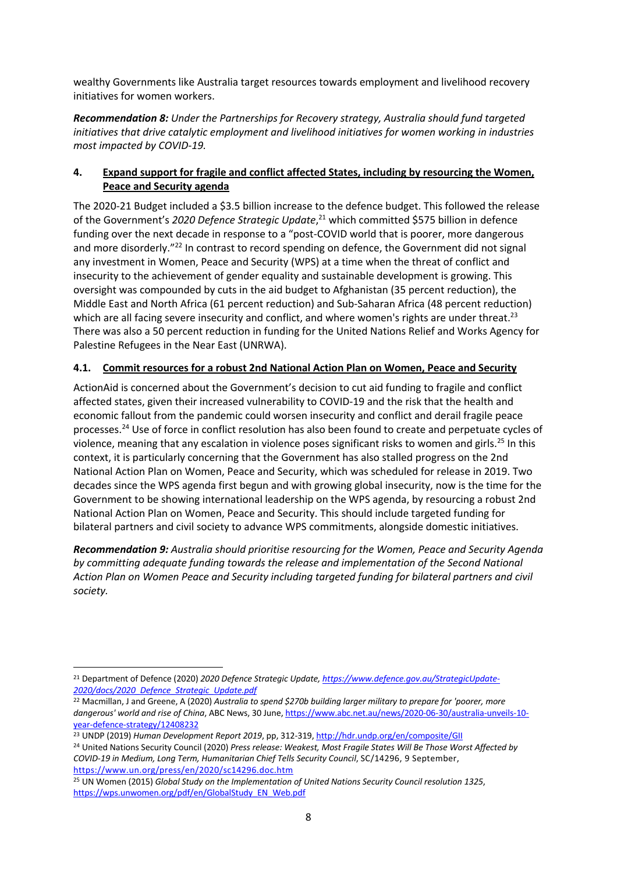wealthy Governments like Australia target resources towards employment and livelihood recovery initiatives for women workers.

*Recommendation 8: Under the Partnerships for Recovery strategy, Australia should fund targeted initiatives that drive catalytic employment and livelihood initiatives for women working in industries most impacted by COVID-19.*

### **4. Expand support for fragile and conflict affected States, including by resourcing the Women, Peace and Security agenda**

The 2020-21 Budget included a \$3.5 billion increase to the defence budget. This followed the release of the Government's *2020 Defence Strategic Update*, <sup>21</sup> which committed \$575 billion in defence funding over the next decade in response to a "post-COVID world that is poorer, more dangerous and more disorderly."<sup>22</sup> In contrast to record spending on defence, the Government did not signal any investment in Women, Peace and Security (WPS) at a time when the threat of conflict and insecurity to the achievement of gender equality and sustainable development is growing. This oversight was compounded by cuts in the aid budget to Afghanistan (35 percent reduction), the Middle East and North Africa (61 percent reduction) and Sub-Saharan Africa (48 percent reduction) which are all facing severe insecurity and conflict, and where women's rights are under threat.<sup>23</sup> There was also a 50 percent reduction in funding for the United Nations Relief and Works Agency for Palestine Refugees in the Near East (UNRWA).

# **4.1. Commit resources for a robust 2nd National Action Plan on Women, Peace and Security**

ActionAid is concerned about the Government's decision to cut aid funding to fragile and conflict affected states, given their increased vulnerability to COVID-19 and the risk that the health and economic fallout from the pandemic could worsen insecurity and conflict and derail fragile peace processes.24 Use of force in conflict resolution has also been found to create and perpetuate cycles of violence, meaning that any escalation in violence poses significant risks to women and girls.<sup>25</sup> In this context, it is particularly concerning that the Government has also stalled progress on the 2nd National Action Plan on Women, Peace and Security, which was scheduled for release in 2019. Two decades since the WPS agenda first begun and with growing global insecurity, now is the time for the Government to be showing international leadership on the WPS agenda, by resourcing a robust 2nd National Action Plan on Women, Peace and Security. This should include targeted funding for bilateral partners and civil society to advance WPS commitments, alongside domestic initiatives.

*Recommendation 9: Australia should prioritise resourcing for the Women, Peace and Security Agenda by committing adequate funding towards the release and implementation of the Second National Action Plan on Women Peace and Security including targeted funding for bilateral partners and civil society.*

<sup>21</sup> Department of Defence (2020) *2020 Defence Strategic Update, https://www.defence.gov.au/StrategicUpdate-2020/docs/2020\_Defence\_Strategic\_Update.pdf*

<sup>22</sup> Macmillan, J and Greene, A (2020) *Australia to spend \$270b building larger military to prepare for 'poorer, more dangerous' world and rise of China*, ABC News, 30 June, https://www.abc.net.au/news/2020-06-30/australia-unveils-10 year-defence-strategy/12408232

<sup>23</sup> UNDP (2019) *Human Development Report 2019*, pp, 312-319, http://hdr.undp.org/en/composite/GII

<sup>24</sup> United Nations Security Council (2020) *Press release: Weakest, Most Fragile States Will Be Those Worst Affected by COVID-19 in Medium, Long Term, Humanitarian Chief Tells Security Council*, SC/14296, 9 September, https://www.un.org/press/en/2020/sc14296.doc.htm

<sup>25</sup> UN Women (2015) *Global Study on the Implementation of United Nations Security Council resolution 1325*, https://wps.unwomen.org/pdf/en/GlobalStudy\_EN\_Web.pdf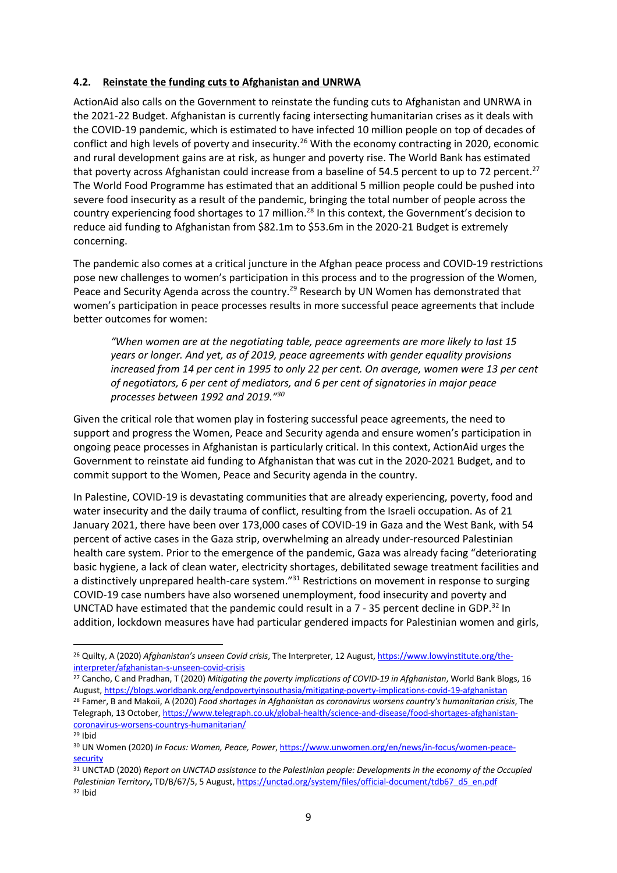#### **4.2. Reinstate the funding cuts to Afghanistan and UNRWA**

ActionAid also calls on the Government to reinstate the funding cuts to Afghanistan and UNRWA in the 2021-22 Budget. Afghanistan is currently facing intersecting humanitarian crises as it deals with the COVID-19 pandemic, which is estimated to have infected 10 million people on top of decades of conflict and high levels of poverty and insecurity.<sup>26</sup> With the economy contracting in 2020, economic and rural development gains are at risk, as hunger and poverty rise. The World Bank has estimated that poverty across Afghanistan could increase from a baseline of 54.5 percent to up to 72 percent.<sup>27</sup> The World Food Programme has estimated that an additional 5 million people could be pushed into severe food insecurity as a result of the pandemic, bringing the total number of people across the country experiencing food shortages to 17 million.<sup>28</sup> In this context, the Government's decision to reduce aid funding to Afghanistan from \$82.1m to \$53.6m in the 2020-21 Budget is extremely concerning.

The pandemic also comes at a critical juncture in the Afghan peace process and COVID-19 restrictions pose new challenges to women's participation in this process and to the progression of the Women, Peace and Security Agenda across the country.<sup>29</sup> Research by UN Women has demonstrated that women's participation in peace processes results in more successful peace agreements that include better outcomes for women:

*"When women are at the negotiating table, peace agreements are more likely to last 15 years or longer. And yet, as of 2019, peace agreements with gender equality provisions increased from 14 per cent in 1995 to only 22 per cent. On average, women were 13 per cent of negotiators, 6 per cent of mediators, and 6 per cent of signatories in major peace processes between 1992 and 2019."30* 

Given the critical role that women play in fostering successful peace agreements, the need to support and progress the Women, Peace and Security agenda and ensure women's participation in ongoing peace processes in Afghanistan is particularly critical. In this context, ActionAid urges the Government to reinstate aid funding to Afghanistan that was cut in the 2020-2021 Budget, and to commit support to the Women, Peace and Security agenda in the country.

In Palestine, COVID-19 is devastating communities that are already experiencing, poverty, food and water insecurity and the daily trauma of conflict, resulting from the Israeli occupation. As of 21 January 2021, there have been over 173,000 cases of COVID-19 in Gaza and the West Bank, with 54 percent of active cases in the Gaza strip, overwhelming an already under-resourced Palestinian health care system. Prior to the emergence of the pandemic, Gaza was already facing "deteriorating basic hygiene, a lack of clean water, electricity shortages, debilitated sewage treatment facilities and a distinctively unprepared health-care system."<sup>31</sup> Restrictions on movement in response to surging COVID-19 case numbers have also worsened unemployment, food insecurity and poverty and UNCTAD have estimated that the pandemic could result in a  $7 - 35$  percent decline in GDP.<sup>32</sup> In addition, lockdown measures have had particular gendered impacts for Palestinian women and girls,

<sup>26</sup> Quilty, A (2020) *Afghanistan's unseen Covid crisis*, The Interpreter, 12 August, https://www.lowyinstitute.org/theinterpreter/afghanistan-s-unseen-covid-crisis

<sup>27</sup> Cancho, C and Pradhan, T (2020) *Mitigating the poverty implications of COVID-19 in Afghanistan*, World Bank Blogs, 16 August, https://blogs.worldbank.org/endpovertyinsouthasia/mitigating-poverty-implications-covid-19-afghanistan <sup>28</sup> Famer, B and Makoii, A (2020) *Food shortages in Afghanistan as coronavirus worsens country's humanitarian crisis*, The Telegraph, 13 October, https://www.telegraph.co.uk/global-health/science-and-disease/food-shortages-afghanistancoronavirus-worsens-countrys-humanitarian/

<sup>29</sup> Ibid

<sup>30</sup> UN Women (2020) *In Focus: Women, Peace, Power*, https://www.unwomen.org/en/news/in-focus/women-peacesecurity

<sup>31</sup> UNCTAD (2020) *Report on UNCTAD assistance to the Palestinian people: Developments in the economy of the Occupied Palestinian Territory***,** TD/B/67/5, 5 August, https://unctad.org/system/files/official-document/tdb67\_d5\_en.pdf <sup>32</sup> Ibid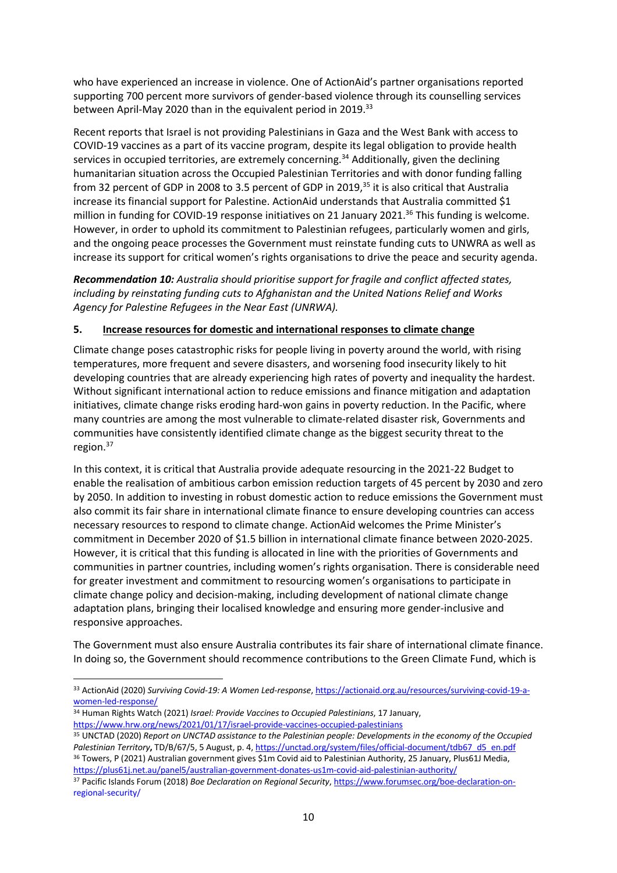who have experienced an increase in violence. One of ActionAid's partner organisations reported supporting 700 percent more survivors of gender-based violence through its counselling services between April-May 2020 than in the equivalent period in 2019.<sup>33</sup>

Recent reports that Israel is not providing Palestinians in Gaza and the West Bank with access to COVID-19 vaccines as a part of its vaccine program, despite its legal obligation to provide health services in occupied territories, are extremely concerning.<sup>34</sup> Additionally, given the declining humanitarian situation across the Occupied Palestinian Territories and with donor funding falling from 32 percent of GDP in 2008 to 3.5 percent of GDP in 2019,<sup>35</sup> it is also critical that Australia increase its financial support for Palestine. ActionAid understands that Australia committed \$1 million in funding for COVID-19 response initiatives on 21 January 2021.<sup>36</sup> This funding is welcome. However, in order to uphold its commitment to Palestinian refugees, particularly women and girls, and the ongoing peace processes the Government must reinstate funding cuts to UNWRA as well as increase its support for critical women's rights organisations to drive the peace and security agenda.

*Recommendation 10: Australia should prioritise support for fragile and conflict affected states, including by reinstating funding cuts to Afghanistan and the United Nations Relief and Works Agency for Palestine Refugees in the Near East (UNRWA).* 

#### **5. Increase resources for domestic and international responses to climate change**

Climate change poses catastrophic risks for people living in poverty around the world, with rising temperatures, more frequent and severe disasters, and worsening food insecurity likely to hit developing countries that are already experiencing high rates of poverty and inequality the hardest. Without significant international action to reduce emissions and finance mitigation and adaptation initiatives, climate change risks eroding hard-won gains in poverty reduction. In the Pacific, where many countries are among the most vulnerable to climate-related disaster risk, Governments and communities have consistently identified climate change as the biggest security threat to the region.<sup>37</sup>

In this context, it is critical that Australia provide adequate resourcing in the 2021-22 Budget to enable the realisation of ambitious carbon emission reduction targets of 45 percent by 2030 and zero by 2050. In addition to investing in robust domestic action to reduce emissions the Government must also commit its fair share in international climate finance to ensure developing countries can access necessary resources to respond to climate change. ActionAid welcomes the Prime Minister's commitment in December 2020 of \$1.5 billion in international climate finance between 2020-2025. However, it is critical that this funding is allocated in line with the priorities of Governments and communities in partner countries, including women's rights organisation. There is considerable need for greater investment and commitment to resourcing women's organisations to participate in climate change policy and decision-making, including development of national climate change adaptation plans, bringing their localised knowledge and ensuring more gender-inclusive and responsive approaches.

The Government must also ensure Australia contributes its fair share of international climate finance. In doing so, the Government should recommence contributions to the Green Climate Fund, which is

<sup>33</sup> ActionAid (2020) *Surviving Covid-19: A Women Led-response*, https://actionaid.org.au/resources/surviving-covid-19-awomen-led-response/<br><sup>34</sup> Human Rights Watch (2021) *Israel: Provide Vaccines to Occupied Palestinians*, 17 January,

https://www.hrw.org/news/2021/01/17/israel-provide-vaccines-occupied-palestinians

<sup>35</sup> UNCTAD (2020) *Report on UNCTAD assistance to the Palestinian people: Developments in the economy of the Occupied*  Palestinian Territory, TD/B/67/5, 5 August, p. 4, https://unctad.org/system/files/official-document/tdb67\_d5\_en.pdf <sup>36</sup> Towers, P (2021) Australian government gives \$1m Covid aid to Palestinian Authority, 25 January, Plus61J Media, https://plus61j.net.au/panel5/australian-government-donates-us1m-covid-aid-palestinian-authority/

<sup>37</sup> Pacific Islands Forum (2018) *Boe Declaration on Regional Security*, https://www.forumsec.org/boe-declaration-onregional-security/